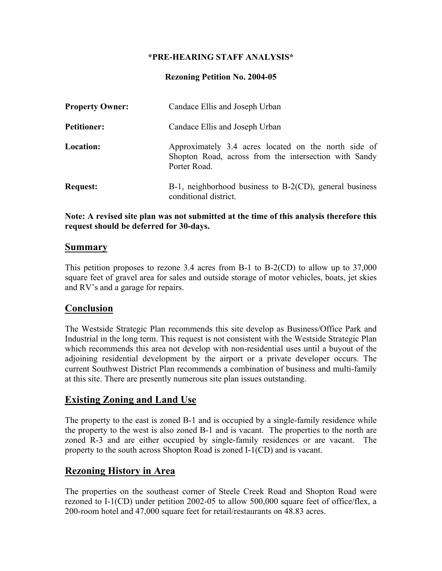#### **\*PRE-HEARING STAFF ANALYSIS\***

#### **Rezoning Petition No. 2004-05**

| <b>Property Owner:</b> | Candace Ellis and Joseph Urban                                                                                                |
|------------------------|-------------------------------------------------------------------------------------------------------------------------------|
| <b>Petitioner:</b>     | Candace Ellis and Joseph Urban                                                                                                |
| Location:              | Approximately 3.4 acres located on the north side of<br>Shopton Road, across from the intersection with Sandy<br>Porter Road. |
| <b>Request:</b>        | $B-1$ , neighborhood business to $B-2(CD)$ , general business<br>conditional district.                                        |

#### **Note: A revised site plan was not submitted at the time of this analysis therefore this request should be deferred for 30-days.**

#### **Summary**

This petition proposes to rezone 3.4 acres from B-1 to B-2(CD) to allow up to 37,000 square feet of gravel area for sales and outside storage of motor vehicles, boats, jet skies and RV's and a garage for repairs.

### **Conclusion**

The Westside Strategic Plan recommends this site develop as Business/Office Park and Industrial in the long term. This request is not consistent with the Westside Strategic Plan which recommends this area not develop with non-residential uses until a buyout of the adjoining residential development by the airport or a private developer occurs. The current Southwest District Plan recommends a combination of business and multi-family at this site. There are presently numerous site plan issues outstanding.

### **Existing Zoning and Land Use**

The property to the east is zoned B-1 and is occupied by a single-family residence while the property to the west is also zoned B-1 and is vacant. The properties to the north are zoned R-3 and are either occupied by single-family residences or are vacant. The property to the south across Shopton Road is zoned I-1(CD) and is vacant.

### **Rezoning History in Area**

The properties on the southeast corner of Steele Creek Road and Shopton Road were rezoned to I-1(CD) under petition 2002-05 to allow 500,000 square feet of office/flex, a 200-room hotel and 47,000 square feet for retail/restaurants on 48.83 acres.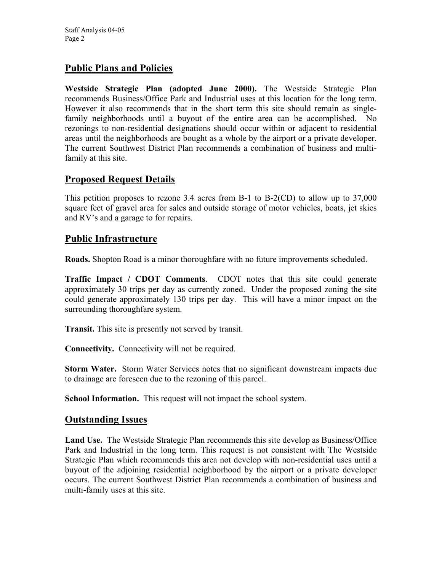# **Public Plans and Policies**

**Westside Strategic Plan (adopted June 2000).** The Westside Strategic Plan recommends Business/Office Park and Industrial uses at this location for the long term. However it also recommends that in the short term this site should remain as singlefamily neighborhoods until a buyout of the entire area can be accomplished. No rezonings to non-residential designations should occur within or adjacent to residential areas until the neighborhoods are bought as a whole by the airport or a private developer. The current Southwest District Plan recommends a combination of business and multifamily at this site.

# **Proposed Request Details**

This petition proposes to rezone 3.4 acres from B-1 to B-2(CD) to allow up to 37,000 square feet of gravel area for sales and outside storage of motor vehicles, boats, jet skies and RV's and a garage to for repairs.

# **Public Infrastructure**

**Roads.** Shopton Road is a minor thoroughfare with no future improvements scheduled.

**Traffic Impact / CDOT Comments**. CDOT notes that this site could generate approximately 30 trips per day as currently zoned. Under the proposed zoning the site could generate approximately 130 trips per day. This will have a minor impact on the surrounding thoroughfare system.

**Transit.** This site is presently not served by transit.

**Connectivity.** Connectivity will not be required.

**Storm Water.** Storm Water Services notes that no significant downstream impacts due to drainage are foreseen due to the rezoning of this parcel.

**School Information.** This request will not impact the school system.

### **Outstanding Issues**

**Land Use.** The Westside Strategic Plan recommends this site develop as Business/Office Park and Industrial in the long term. This request is not consistent with The Westside Strategic Plan which recommends this area not develop with non-residential uses until a buyout of the adjoining residential neighborhood by the airport or a private developer occurs. The current Southwest District Plan recommends a combination of business and multi-family uses at this site.